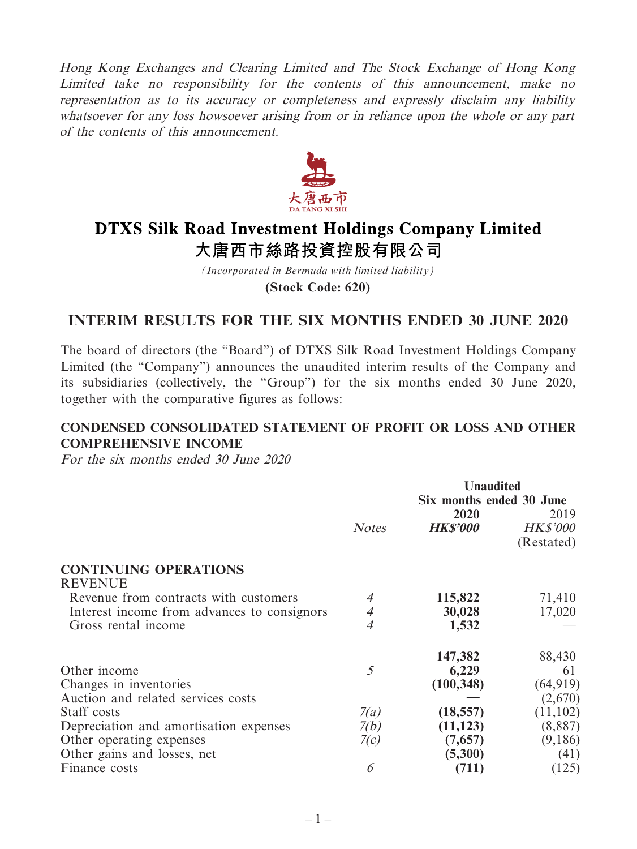Hong Kong Exchanges and Clearing Limited and The Stock Exchange of Hong Kong Limited take no responsibility for the contents of this announcement, make no representation as to its accuracy or completeness and expressly disclaim any liability whatsoever for any loss howsoever arising from or in reliance upon the whole or any part of the contents of this announcement.



# **DTXS Silk Road Investment Holdings Company Limited** 大唐西市絲路投資控股有限公司

*(Incorporated in Bermuda with limited liability)* **(Stock Code: 620)**

# **INTERIM RESULTS FOR THE SIX MONTHS ENDED 30 JUNE 2020**

The board of directors (the "Board") of DTXS Silk Road Investment Holdings Company Limited (the "Company") announces the unaudited interim results of the Company and its subsidiaries (collectively, the "Group") for the six months ended 30 June 2020, together with the comparative figures as follows:

# **CONDENSED CONSOLIDATED STATEMENT OF PROFIT OR LOSS AND OTHER COMPREHENSIVE INCOME**

For the six months ended 30 June 2020

|                                             |                | <b>Unaudited</b>         |                 |  |
|---------------------------------------------|----------------|--------------------------|-----------------|--|
|                                             |                | Six months ended 30 June |                 |  |
|                                             |                | 2020                     | 2019            |  |
|                                             | <b>Notes</b>   | <b>HK\$'000</b>          | <b>HK\$'000</b> |  |
|                                             |                |                          | (Restated)      |  |
| <b>CONTINUING OPERATIONS</b>                |                |                          |                 |  |
| <b>REVENUE</b>                              |                |                          |                 |  |
| Revenue from contracts with customers       | $\overline{4}$ | 115,822                  | 71,410          |  |
| Interest income from advances to consignors | $\overline{4}$ | 30,028                   | 17,020          |  |
| Gross rental income                         | $\overline{4}$ | 1,532                    |                 |  |
|                                             |                | 147,382                  | 88,430          |  |
| Other income                                | $\mathfrak{H}$ | 6,229                    | 61              |  |
| Changes in inventories                      |                | (100, 348)               | (64, 919)       |  |
| Auction and related services costs          |                |                          | (2,670)         |  |
| Staff costs                                 | 7(a)           | (18, 557)                | (11, 102)       |  |
| Depreciation and amortisation expenses      | 7(b)           | (11, 123)                | (8, 887)        |  |
| Other operating expenses                    | 7(c)           | (7,657)                  | (9,186)         |  |
| Other gains and losses, net                 |                | (5,300)                  | (41)            |  |
| Finance costs                               | 6              | (711)                    | (125)           |  |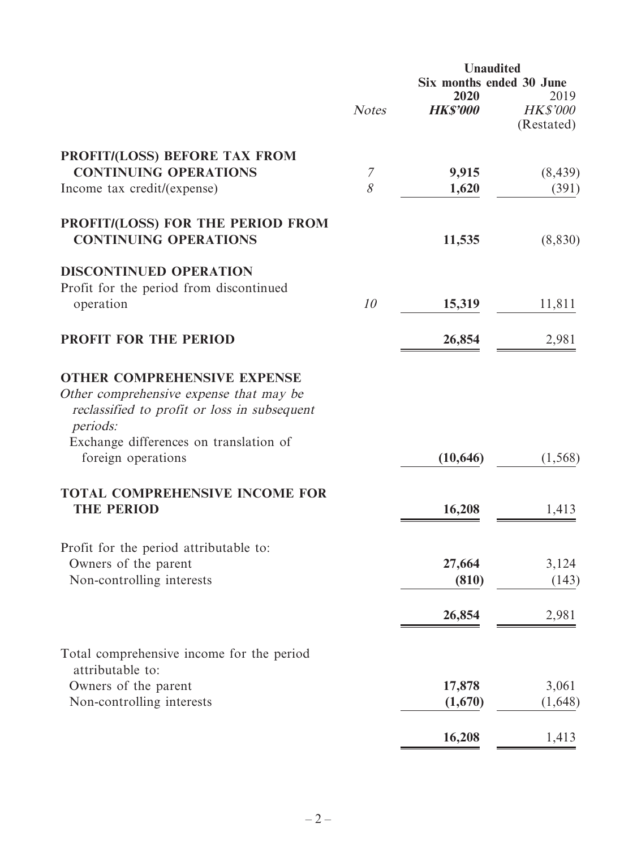|                                                                                                                                                                                     |              | <b>Unaudited</b><br>Six months ended 30 June |                                       |  |
|-------------------------------------------------------------------------------------------------------------------------------------------------------------------------------------|--------------|----------------------------------------------|---------------------------------------|--|
|                                                                                                                                                                                     | <b>Notes</b> | 2020<br><b>HK\$'000</b>                      | 2019<br><b>HK\$'000</b><br>(Restated) |  |
| PROFIT/(LOSS) BEFORE TAX FROM                                                                                                                                                       |              |                                              |                                       |  |
| <b>CONTINUING OPERATIONS</b><br>Income tax credit/(expense)                                                                                                                         | 7<br>8       | 9,915<br>1,620                               | (8, 439)<br>(391)                     |  |
| PROFIT/(LOSS) FOR THE PERIOD FROM<br><b>CONTINUING OPERATIONS</b>                                                                                                                   |              | 11,535                                       | (8, 830)                              |  |
| <b>DISCONTINUED OPERATION</b>                                                                                                                                                       |              |                                              |                                       |  |
| Profit for the period from discontinued<br>operation                                                                                                                                | 10           | 15,319                                       | 11,811                                |  |
| <b>PROFIT FOR THE PERIOD</b>                                                                                                                                                        |              | 26,854                                       | 2,981                                 |  |
| <b>OTHER COMPREHENSIVE EXPENSE</b><br>Other comprehensive expense that may be<br>reclassified to profit or loss in subsequent<br>periods:<br>Exchange differences on translation of |              |                                              |                                       |  |
| foreign operations                                                                                                                                                                  |              | (10, 646)                                    | (1, 568)                              |  |
| <b>TOTAL COMPREHENSIVE INCOME FOR</b><br><b>THE PERIOD</b>                                                                                                                          |              | 16,208                                       | 1,413                                 |  |
| Profit for the period attributable to:                                                                                                                                              |              |                                              |                                       |  |
| Owners of the parent<br>Non-controlling interests                                                                                                                                   |              | 27,664<br>(810)                              | 3,124<br>(143)                        |  |
|                                                                                                                                                                                     |              | 26,854                                       | 2,981                                 |  |
| Total comprehensive income for the period<br>attributable to:                                                                                                                       |              |                                              |                                       |  |
| Owners of the parent                                                                                                                                                                |              | 17,878                                       | 3,061                                 |  |
| Non-controlling interests                                                                                                                                                           |              | (1,670)                                      | (1,648)                               |  |
|                                                                                                                                                                                     |              | 16,208                                       | 1,413                                 |  |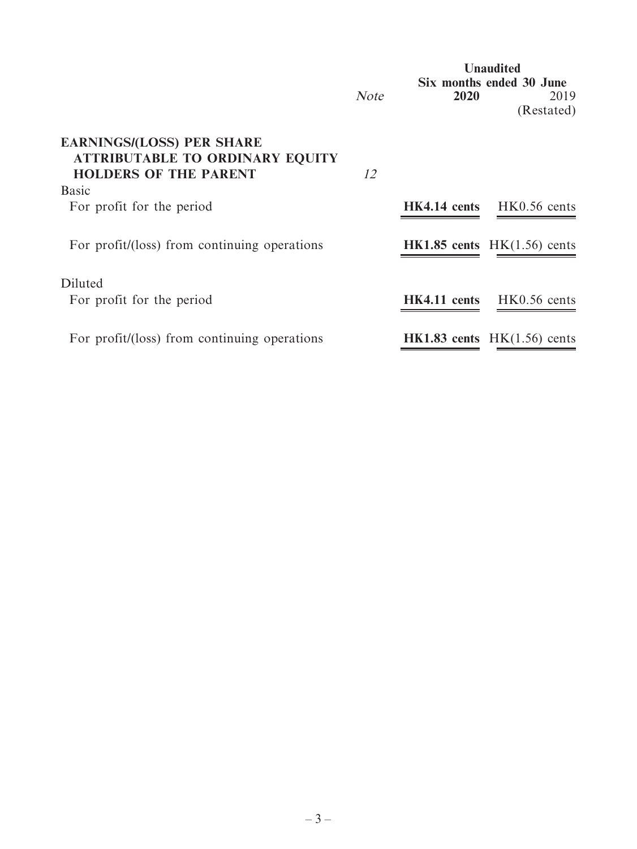|                                                                                                            |             |      | <b>Unaudited</b><br>Six months ended 30 June |
|------------------------------------------------------------------------------------------------------------|-------------|------|----------------------------------------------|
|                                                                                                            | <b>Note</b> | 2020 | 2019<br>(Restated)                           |
| <b>EARNINGS/(LOSS) PER SHARE</b><br><b>ATTRIBUTABLE TO ORDINARY EQUITY</b><br><b>HOLDERS OF THE PARENT</b> | 12          |      |                                              |
| <b>Basic</b>                                                                                               |             |      |                                              |
| For profit for the period                                                                                  |             |      | <b>HK4.14 cents</b> HK0.56 cents             |
| For profit/(loss) from continuing operations                                                               |             |      | HK1.85 cents $HK(1.56)$ cents                |
| Diluted                                                                                                    |             |      |                                              |
| For profit for the period                                                                                  |             |      | HK4.11 cents HK0.56 cents                    |
| For profit/(loss) from continuing operations                                                               |             |      | <b>HK1.83</b> cents $HK(1.56)$ cents         |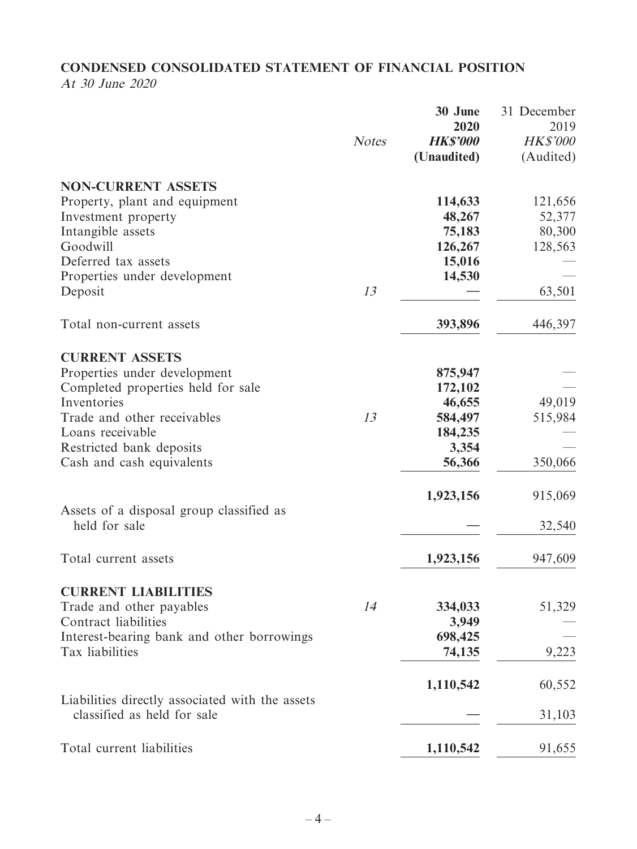# **CONDENSED CONSOLIDATED STATEMENT OF FINANCIAL POSITION**

At 30 June 2020

|                                                                                | <b>Notes</b> | 30 June<br>2020<br><b>HK\$'000</b><br>(Unaudited) | 31 December<br>2019<br><b>HK\$'000</b><br>(Audited) |
|--------------------------------------------------------------------------------|--------------|---------------------------------------------------|-----------------------------------------------------|
| <b>NON-CURRENT ASSETS</b>                                                      |              |                                                   |                                                     |
| Property, plant and equipment                                                  |              | 114,633                                           | 121,656                                             |
| Investment property                                                            |              | 48,267                                            | 52,377                                              |
| Intangible assets                                                              |              | 75,183                                            | 80,300                                              |
| Goodwill                                                                       |              | 126,267                                           | 128,563                                             |
| Deferred tax assets                                                            |              | 15,016                                            |                                                     |
| Properties under development                                                   |              | 14,530                                            |                                                     |
| Deposit                                                                        | 13           |                                                   | 63,501                                              |
| Total non-current assets                                                       |              | 393,896                                           | 446,397                                             |
| <b>CURRENT ASSETS</b>                                                          |              |                                                   |                                                     |
| Properties under development                                                   |              | 875,947                                           |                                                     |
| Completed properties held for sale                                             |              | 172,102                                           |                                                     |
| Inventories                                                                    |              | 46,655                                            | 49,019                                              |
| Trade and other receivables                                                    | 13           | 584,497                                           | 515,984                                             |
| Loans receivable                                                               |              | 184,235                                           |                                                     |
| Restricted bank deposits                                                       |              | 3,354                                             |                                                     |
| Cash and cash equivalents                                                      |              | 56,366                                            | 350,066                                             |
|                                                                                |              | 1,923,156                                         | 915,069                                             |
| Assets of a disposal group classified as<br>held for sale                      |              |                                                   | 32,540                                              |
| Total current assets                                                           |              | 1,923,156                                         | 947,609                                             |
| <b>CURRENT LIABILITIES</b>                                                     |              |                                                   |                                                     |
| Trade and other payables                                                       | 14           | 334,033                                           | 51,329                                              |
| Contract liabilities                                                           |              | 3,949                                             |                                                     |
| Interest-bearing bank and other borrowings                                     |              | 698,425                                           |                                                     |
| Tax liabilities                                                                |              | 74,135                                            | 9,223                                               |
|                                                                                |              | 1,110,542                                         | 60,552                                              |
| Liabilities directly associated with the assets<br>classified as held for sale |              |                                                   | 31,103                                              |
|                                                                                |              |                                                   |                                                     |
| Total current liabilities                                                      |              | 1,110,542                                         | 91,655                                              |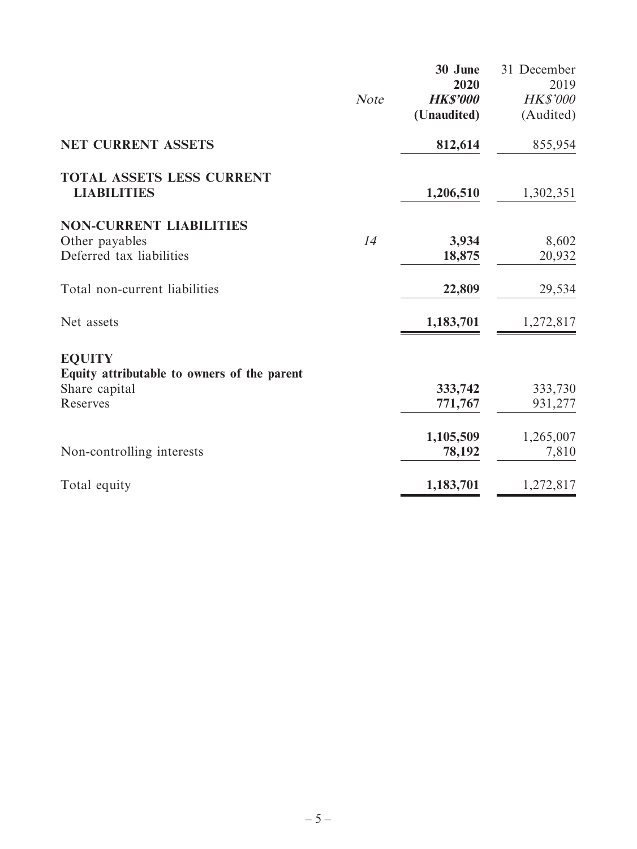|                                                        |             | 30 June                 | 31 December             |
|--------------------------------------------------------|-------------|-------------------------|-------------------------|
|                                                        | <b>Note</b> | 2020<br><b>HK\$'000</b> | 2019<br><b>HK\$'000</b> |
|                                                        |             | (Unaudited)             | (Audited)               |
|                                                        |             |                         |                         |
| <b>NET CURRENT ASSETS</b>                              |             | 812,614                 | 855,954                 |
| <b>TOTAL ASSETS LESS CURRENT</b><br><b>LIABILITIES</b> |             | 1,206,510               | 1,302,351               |
| <b>NON-CURRENT LIABILITIES</b>                         |             |                         |                         |
| Other payables                                         | 14          | 3,934                   | 8,602                   |
| Deferred tax liabilities                               |             | 18,875                  | 20,932                  |
| Total non-current liabilities                          |             | 22,809                  | 29,534                  |
| Net assets                                             |             | 1,183,701               | 1,272,817               |
| <b>EQUITY</b>                                          |             |                         |                         |
| Equity attributable to owners of the parent            |             |                         |                         |
| Share capital                                          |             | 333,742                 | 333,730                 |
| Reserves                                               |             | 771,767                 | 931,277                 |
|                                                        |             | 1,105,509               | 1,265,007               |
| Non-controlling interests                              |             | 78,192                  | 7,810                   |
| Total equity                                           |             | 1,183,701               | 1,272,817               |
|                                                        |             |                         |                         |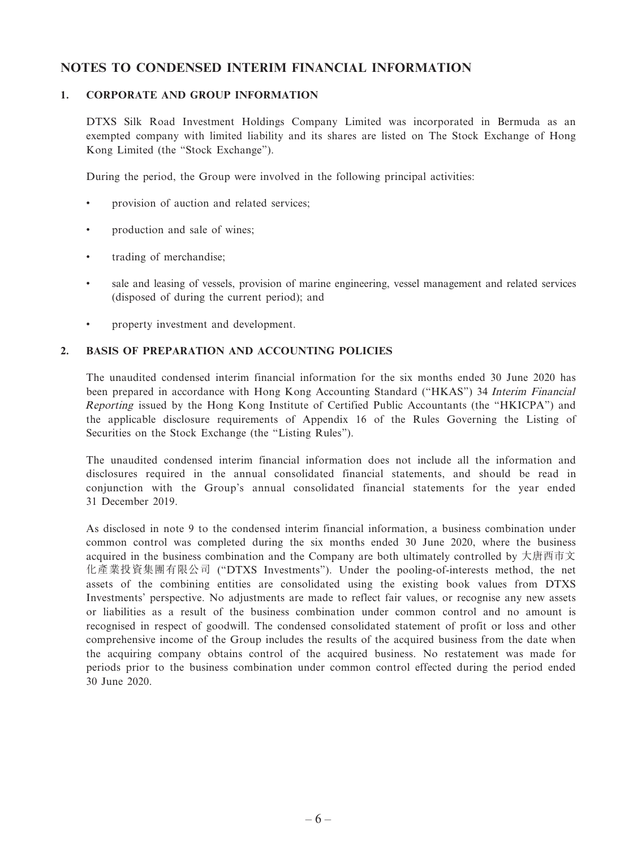### **NOTES TO CONDENSED INTERIM FINANCIAL INFORMATION**

#### **1. CORPORATE AND GROUP INFORMATION**

DTXS Silk Road Investment Holdings Company Limited was incorporated in Bermuda as an exempted company with limited liability and its shares are listed on The Stock Exchange of Hong Kong Limited (the "Stock Exchange").

During the period, the Group were involved in the following principal activities:

- provision of auction and related services;
- production and sale of wines;
- trading of merchandise;
- sale and leasing of vessels, provision of marine engineering, vessel management and related services (disposed of during the current period); and
- property investment and development.

#### **2. BASIS OF PREPARATION AND ACCOUNTING POLICIES**

The unaudited condensed interim financial information for the six months ended 30 June 2020 has been prepared in accordance with Hong Kong Accounting Standard ("HKAS") 34 Interim Financial Reporting issued by the Hong Kong Institute of Certified Public Accountants (the "HKICPA") and the applicable disclosure requirements of Appendix 16 of the Rules Governing the Listing of Securities on the Stock Exchange (the "Listing Rules").

The unaudited condensed interim financial information does not include all the information and disclosures required in the annual consolidated financial statements, and should be read in conjunction with the Group's annual consolidated financial statements for the year ended 31 December 2019.

As disclosed in note 9 to the condensed interim financial information, a business combination under common control was completed during the six months ended 30 June 2020, where the business acquired in the business combination and the Company are both ultimately controlled by 大唐西市文 化產業投資集團有限公司 ("DTXS Investments"). Under the pooling-of-interests method, the net assets of the combining entities are consolidated using the existing book values from DTXS Investments' perspective. No adjustments are made to reflect fair values, or recognise any new assets or liabilities as a result of the business combination under common control and no amount is recognised in respect of goodwill. The condensed consolidated statement of profit or loss and other comprehensive income of the Group includes the results of the acquired business from the date when the acquiring company obtains control of the acquired business. No restatement was made for periods prior to the business combination under common control effected during the period ended 30 June 2020.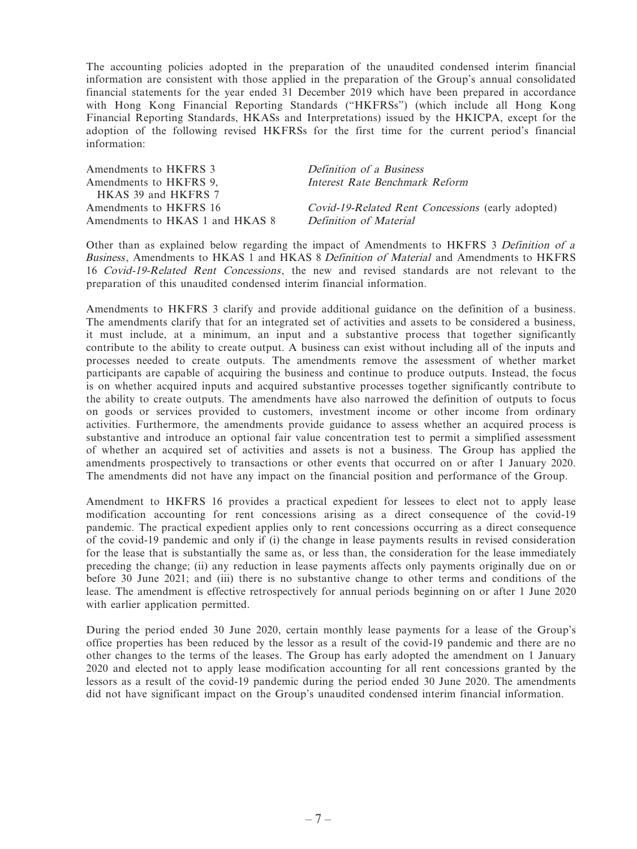The accounting policies adopted in the preparation of the unaudited condensed interim financial information are consistent with those applied in the preparation of the Group's annual consolidated financial statements for the year ended 31 December 2019 which have been prepared in accordance with Hong Kong Financial Reporting Standards ("HKFRSs") (which include all Hong Kong Financial Reporting Standards, HKASs and Interpretations) issued by the HKICPA, except for the adoption of the following revised HKFRSs for the first time for the current period's financial information:

| Amendments to HKFRS 3           | Definition of a Business                                 |
|---------------------------------|----------------------------------------------------------|
| Amendments to HKFRS 9,          | Interest Rate Benchmark Reform                           |
| HKAS 39 and HKFRS 7             |                                                          |
| Amendments to HKFRS 16          | <i>Covid-19-Related Rent Concessions</i> (early adopted) |
| Amendments to HKAS 1 and HKAS 8 | Definition of Material                                   |

Other than as explained below regarding the impact of Amendments to HKFRS 3 Definition of a Business, Amendments to HKAS 1 and HKAS 8 Definition of Material and Amendments to HKFRS 16 Covid-19-Related Rent Concessions, the new and revised standards are not relevant to the preparation of this unaudited condensed interim financial information.

Amendments to HKFRS 3 clarify and provide additional guidance on the definition of a business. The amendments clarify that for an integrated set of activities and assets to be considered a business, it must include, at a minimum, an input and a substantive process that together significantly contribute to the ability to create output. A business can exist without including all of the inputs and processes needed to create outputs. The amendments remove the assessment of whether market participants are capable of acquiring the business and continue to produce outputs. Instead, the focus is on whether acquired inputs and acquired substantive processes together significantly contribute to the ability to create outputs. The amendments have also narrowed the definition of outputs to focus on goods or services provided to customers, investment income or other income from ordinary activities. Furthermore, the amendments provide guidance to assess whether an acquired process is substantive and introduce an optional fair value concentration test to permit a simplified assessment of whether an acquired set of activities and assets is not a business. The Group has applied the amendments prospectively to transactions or other events that occurred on or after 1 January 2020. The amendments did not have any impact on the financial position and performance of the Group.

Amendment to HKFRS 16 provides a practical expedient for lessees to elect not to apply lease modification accounting for rent concessions arising as a direct consequence of the covid-19 pandemic. The practical expedient applies only to rent concessions occurring as a direct consequence of the covid-19 pandemic and only if (i) the change in lease payments results in revised consideration for the lease that is substantially the same as, or less than, the consideration for the lease immediately preceding the change; (ii) any reduction in lease payments affects only payments originally due on or before 30 June 2021; and (iii) there is no substantive change to other terms and conditions of the lease. The amendment is effective retrospectively for annual periods beginning on or after 1 June 2020 with earlier application permitted.

During the period ended 30 June 2020, certain monthly lease payments for a lease of the Group's office properties has been reduced by the lessor as a result of the covid-19 pandemic and there are no other changes to the terms of the leases. The Group has early adopted the amendment on 1 January 2020 and elected not to apply lease modification accounting for all rent concessions granted by the lessors as a result of the covid-19 pandemic during the period ended 30 June 2020. The amendments did not have significant impact on the Group's unaudited condensed interim financial information.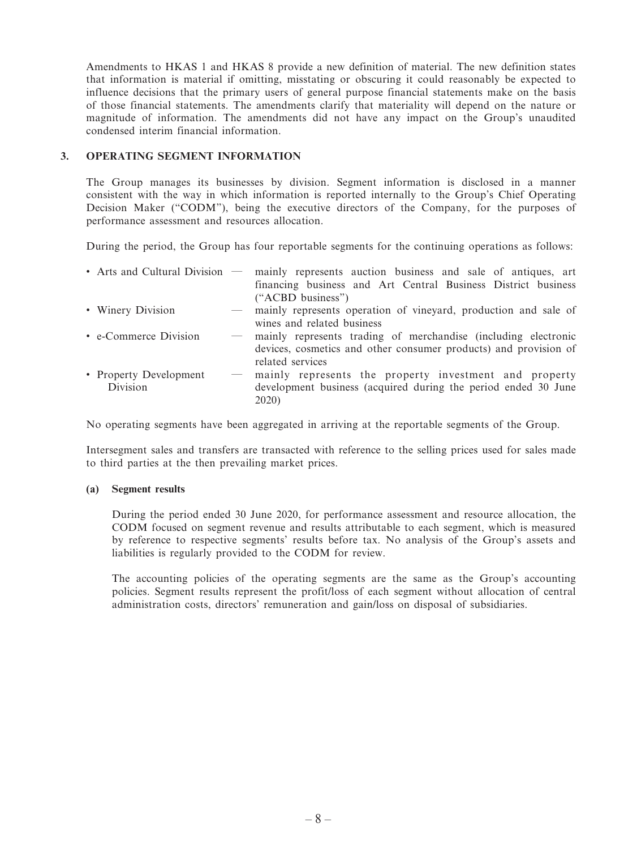Amendments to HKAS 1 and HKAS 8 provide a new definition of material. The new definition states that information is material if omitting, misstating or obscuring it could reasonably be expected to influence decisions that the primary users of general purpose financial statements make on the basis of those financial statements. The amendments clarify that materiality will depend on the nature or magnitude of information. The amendments did not have any impact on the Group's unaudited condensed interim financial information.

#### **3. OPERATING SEGMENT INFORMATION**

The Group manages its businesses by division. Segment information is disclosed in a manner consistent with the way in which information is reported internally to the Group's Chief Operating Decision Maker ("CODM"), being the executive directors of the Company, for the purposes of performance assessment and resources allocation.

During the period, the Group has four reportable segments for the continuing operations as follows:

| • Arts and Cultural Division — | mainly represents auction business and sale of antiques, art     |
|--------------------------------|------------------------------------------------------------------|
|                                | financing business and Art Central Business District business    |
|                                | $(*ACBD$ business")                                              |
| • Winery Division              | mainly represents operation of vineyard, production and sale of  |
|                                | wines and related business                                       |
| • e-Commerce Division          | - mainly represents trading of merchandise (including electronic |
|                                | devices, cosmetics and other consumer products) and provision of |
|                                | related services                                                 |
| • Property Development         | mainly represents the property investment and property           |
| Division                       | development business (acquired during the period ended 30 June   |
|                                | 2020)                                                            |

No operating segments have been aggregated in arriving at the reportable segments of the Group.

Intersegment sales and transfers are transacted with reference to the selling prices used for sales made to third parties at the then prevailing market prices.

#### **(a) Segment results**

During the period ended 30 June 2020, for performance assessment and resource allocation, the CODM focused on segment revenue and results attributable to each segment, which is measured by reference to respective segments' results before tax. No analysis of the Group's assets and liabilities is regularly provided to the CODM for review.

The accounting policies of the operating segments are the same as the Group's accounting policies. Segment results represent the profit/loss of each segment without allocation of central administration costs, directors' remuneration and gain/loss on disposal of subsidiaries.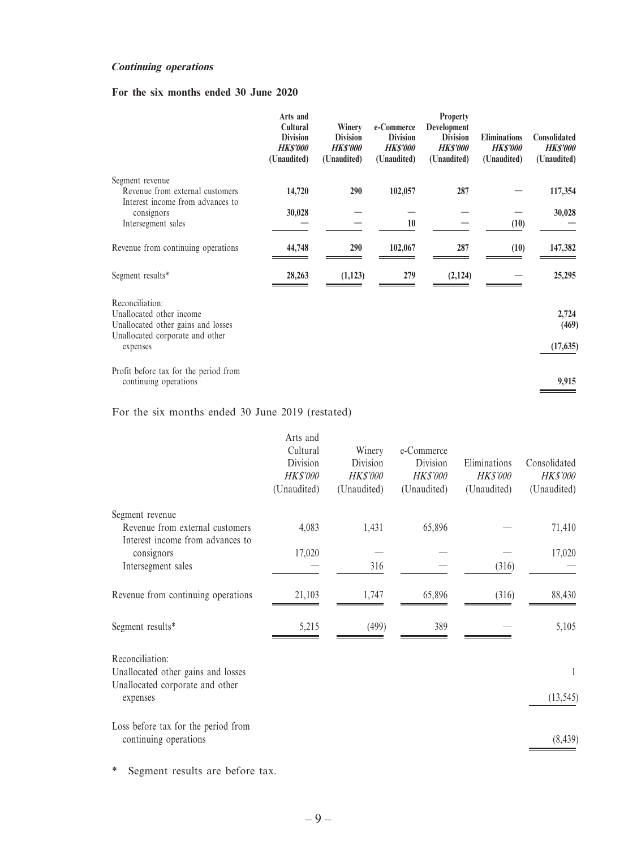#### **Continuing operations**

#### **For the six months ended 30 June 2020**

|                                                                     | Arts and<br>Cultural<br><b>Division</b><br><b>HKS'000</b><br>(Unaudited) | Winery<br><b>Division</b><br><b>HKS'000</b><br>(Unaudited) | e-Commerce<br><b>Division</b><br><b>HKS'000</b><br>(Unaudited) | <b>Property</b><br>Development<br><b>Division</b><br><b>HKS'000</b><br>(Unaudited) | <b>Eliminations</b><br><b>HKS'000</b><br>(Unaudited) | Consolidated<br><b>HKS'000</b><br>(Unaudited) |
|---------------------------------------------------------------------|--------------------------------------------------------------------------|------------------------------------------------------------|----------------------------------------------------------------|------------------------------------------------------------------------------------|------------------------------------------------------|-----------------------------------------------|
| Segment revenue                                                     |                                                                          |                                                            |                                                                |                                                                                    |                                                      |                                               |
| Revenue from external customers<br>Interest income from advances to | 14,720                                                                   | 290                                                        | 102,057                                                        | 287                                                                                |                                                      | 117,354                                       |
| consignors                                                          | 30,028                                                                   |                                                            |                                                                |                                                                                    |                                                      | 30,028                                        |
| Intersegment sales                                                  |                                                                          |                                                            | 10                                                             |                                                                                    | (10)                                                 |                                               |
| Revenue from continuing operations                                  | 44,748                                                                   | 290                                                        | 102,067                                                        | 287                                                                                | (10)                                                 | 147,382                                       |
| Segment results*                                                    | 28,263                                                                   | (1,123)                                                    | 279                                                            | (2,124)                                                                            |                                                      | 25,295                                        |
| Reconciliation:                                                     |                                                                          |                                                            |                                                                |                                                                                    |                                                      |                                               |
| Unallocated other income<br>Unallocated other gains and losses      |                                                                          |                                                            |                                                                |                                                                                    |                                                      | 2,724<br>(469)                                |
| Unallocated corporate and other                                     |                                                                          |                                                            |                                                                |                                                                                    |                                                      |                                               |
| expenses                                                            |                                                                          |                                                            |                                                                |                                                                                    |                                                      | (17, 635)                                     |
| Profit before tax for the period from<br>continuing operations      |                                                                          |                                                            |                                                                |                                                                                    |                                                      | 9,915                                         |
|                                                                     |                                                                          |                                                            |                                                                |                                                                                    |                                                      |                                               |

For the six months ended 30 June 2019 (restated)

|                                                                     | Arts and<br>Cultural<br>Division<br><b>HK\$'000</b><br>(Unaudited) | Winery<br>Division<br><b>HK\$'000</b><br>(Unaudited) | e-Commerce<br>Division<br><b>HK\$'000</b><br>(Unaudited) | Eliminations<br><b>HK\$'000</b><br>(Unaudited) | Consolidated<br><b>HK\$'000</b><br>(Unaudited) |
|---------------------------------------------------------------------|--------------------------------------------------------------------|------------------------------------------------------|----------------------------------------------------------|------------------------------------------------|------------------------------------------------|
| Segment revenue                                                     |                                                                    |                                                      |                                                          |                                                |                                                |
| Revenue from external customers<br>Interest income from advances to | 4,083                                                              | 1,431                                                | 65,896                                                   |                                                | 71,410                                         |
| consignors                                                          | 17,020                                                             |                                                      |                                                          |                                                | 17,020                                         |
| Intersegment sales                                                  |                                                                    | 316                                                  |                                                          | (316)                                          |                                                |
| Revenue from continuing operations                                  | 21,103                                                             | 1,747                                                | 65,896                                                   | (316)                                          | 88,430                                         |
| Segment results*                                                    | 5,215                                                              | (499)                                                | 389                                                      |                                                | 5,105                                          |
| Reconciliation:                                                     |                                                                    |                                                      |                                                          |                                                |                                                |
| Unallocated other gains and losses                                  |                                                                    |                                                      |                                                          |                                                | 1                                              |
| Unallocated corporate and other<br>expenses                         |                                                                    |                                                      |                                                          |                                                | (13, 545)                                      |
| Loss before tax for the period from<br>continuing operations        |                                                                    |                                                      |                                                          |                                                | (8, 439)                                       |
|                                                                     |                                                                    |                                                      |                                                          |                                                |                                                |

\* Segment results are before tax.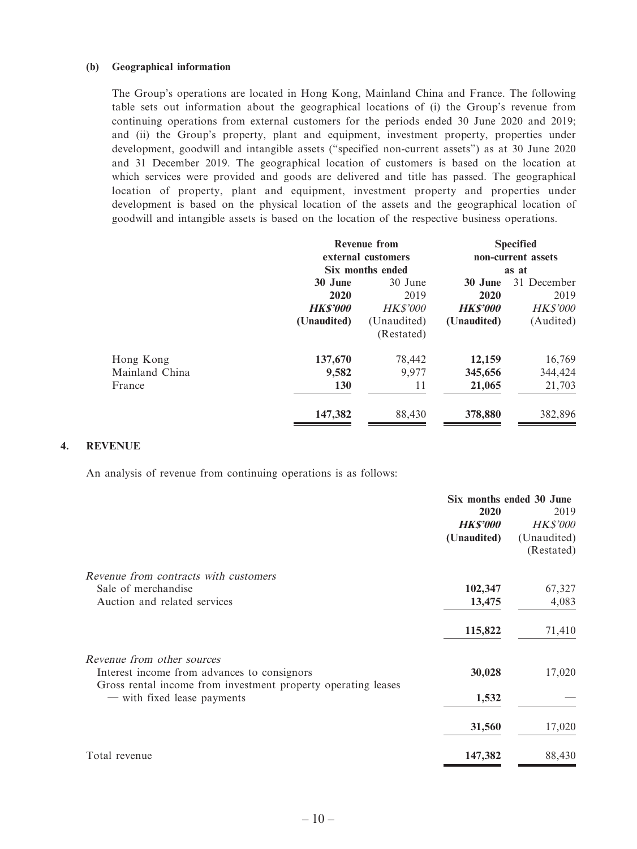#### **(b) Geographical information**

The Group's operations are located in Hong Kong, Mainland China and France. The following table sets out information about the geographical locations of (i) the Group's revenue from continuing operations from external customers for the periods ended 30 June 2020 and 2019; and (ii) the Group's property, plant and equipment, investment property, properties under development, goodwill and intangible assets ("specified non-current assets") as at 30 June 2020 and 31 December 2019. The geographical location of customers is based on the location at which services were provided and goods are delivered and title has passed. The geographical location of property, plant and equipment, investment property and properties under development is based on the physical location of the assets and the geographical location of goodwill and intangible assets is based on the location of the respective business operations.

|                | <b>Revenue from</b> |                    |                    | <b>Specified</b> |  |
|----------------|---------------------|--------------------|--------------------|------------------|--|
|                |                     | external customers | non-current assets |                  |  |
|                |                     | Six months ended   |                    | as at            |  |
|                | 30 June             | 30 June            | 30 June            | 31 December      |  |
|                | 2020                | 2019               | 2020               | 2019             |  |
|                | <b>HKS'000</b>      | <i>HK\$'000</i>    | <b>HKS'000</b>     | <i>HK\$'000</i>  |  |
|                | (Unaudited)         | (Unaudited)        | (Unaudited)        | (Audited)        |  |
|                |                     | (Restated)         |                    |                  |  |
| Hong Kong      | 137,670             | 78,442             | 12,159             | 16,769           |  |
| Mainland China | 9,582               | 9.977              | 345,656            | 344,424          |  |
| France         | <b>130</b>          | 11                 | 21,065             | 21,703           |  |
|                | 147,382             | 88,430             | 378,880            | 382,896          |  |
|                |                     |                    |                    |                  |  |

#### **4. REVENUE**

An analysis of revenue from continuing operations is as follows:

|                                                                                                              | Six months ended 30 June |                 |  |
|--------------------------------------------------------------------------------------------------------------|--------------------------|-----------------|--|
|                                                                                                              | 2020                     | 2019            |  |
|                                                                                                              | <b>HKS'000</b>           | <b>HK\$'000</b> |  |
|                                                                                                              | (Unaudited)              | (Unaudited)     |  |
|                                                                                                              |                          | (Restated)      |  |
| Revenue from contracts with customers                                                                        |                          |                 |  |
| Sale of merchandise                                                                                          | 102,347                  | 67,327          |  |
| Auction and related services                                                                                 | 13,475                   | 4,083           |  |
|                                                                                                              | 115,822                  | 71,410          |  |
| Revenue from other sources                                                                                   |                          |                 |  |
| Interest income from advances to consignors<br>Gross rental income from investment property operating leases | 30,028                   | 17,020          |  |
| — with fixed lease payments                                                                                  | 1,532                    |                 |  |
|                                                                                                              | 31,560                   | 17,020          |  |
| Total revenue                                                                                                | 147,382                  | 88,430          |  |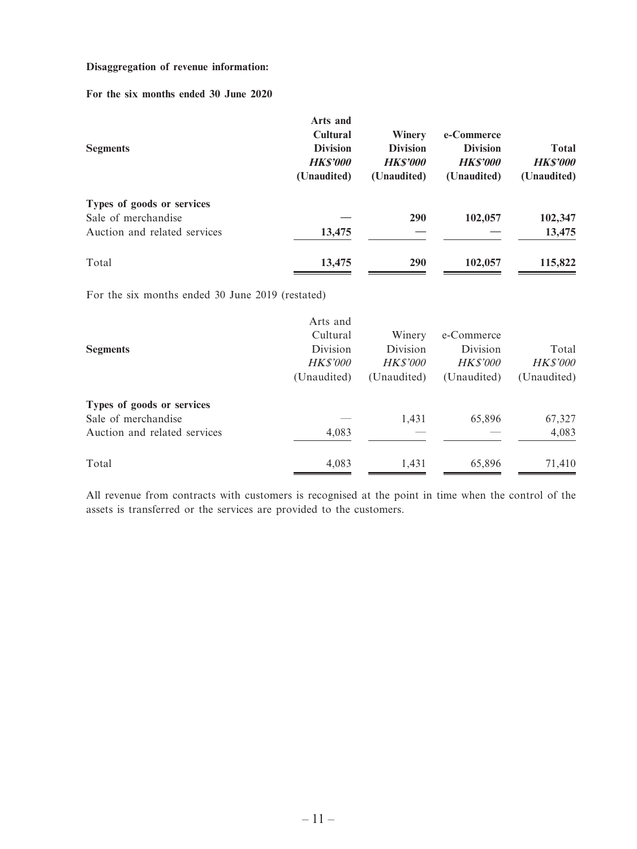#### **Disaggregation of revenue information:**

#### **For the six months ended 30 June 2020**

| <b>Segments</b>                                   | Arts and<br><b>Cultural</b><br><b>Division</b><br><b>HKS'000</b><br>(Unaudited) | <b>Winery</b><br><b>Division</b><br><b>HKS'000</b><br>(Unaudited) | e-Commerce<br><b>Division</b><br><b>HKS'000</b><br>(Unaudited) | <b>Total</b><br><b>HK\$'000</b><br>(Unaudited) |
|---------------------------------------------------|---------------------------------------------------------------------------------|-------------------------------------------------------------------|----------------------------------------------------------------|------------------------------------------------|
| Types of goods or services<br>Sale of merchandise |                                                                                 | <b>290</b>                                                        | 102,057                                                        | 102,347                                        |
| Auction and related services                      | 13,475                                                                          |                                                                   |                                                                | 13,475                                         |
| Total                                             | 13,475                                                                          | 290                                                               | 102,057                                                        | 115,822                                        |

For the six months ended 30 June 2019 (restated)

|                              | Arts and        |                 |                 |                 |
|------------------------------|-----------------|-----------------|-----------------|-----------------|
|                              | Cultural        | Winery          | e-Commerce      |                 |
| <b>Segments</b>              | Division        | Division        | Division        | Total           |
|                              | <b>HK\$'000</b> | <b>HK\$'000</b> | <b>HK\$'000</b> | <b>HK\$'000</b> |
|                              | (Unaudited)     | (Unaudited)     | (Unaudited)     | (Unaudited)     |
| Types of goods or services   |                 |                 |                 |                 |
| Sale of merchandise          |                 | 1,431           | 65,896          | 67,327          |
| Auction and related services | 4,083           |                 |                 | 4,083           |
| Total                        | 4,083           | 1,431           | 65,896          | 71,410          |

All revenue from contracts with customers is recognised at the point in time when the control of the assets is transferred or the services are provided to the customers.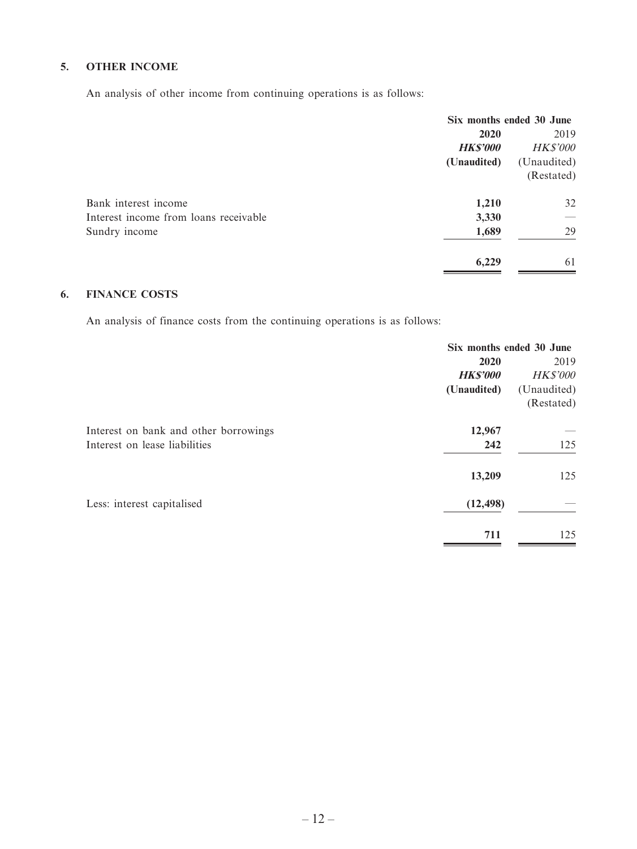#### **5. OTHER INCOME**

An analysis of other income from continuing operations is as follows:

|                                       | Six months ended 30 June |                 |
|---------------------------------------|--------------------------|-----------------|
|                                       | 2020                     | 2019            |
|                                       | <b>HK\$'000</b>          | <b>HK\$'000</b> |
|                                       | (Unaudited)              | (Unaudited)     |
|                                       |                          | (Restated)      |
| Bank interest income                  | 1,210                    | 32              |
| Interest income from loans receivable | 3,330                    |                 |
| Sundry income                         | 1,689                    | 29              |
|                                       | 6,229                    | 61              |

### **6. FINANCE COSTS**

An analysis of finance costs from the continuing operations is as follows:

|                                       | Six months ended 30 June |                 |
|---------------------------------------|--------------------------|-----------------|
|                                       | 2020                     | 2019            |
|                                       | <b>HK\$'000</b>          | <b>HK\$'000</b> |
|                                       | (Unaudited)              | (Unaudited)     |
|                                       |                          | (Restated)      |
| Interest on bank and other borrowings | 12,967                   |                 |
| Interest on lease liabilities         | 242                      | 125             |
|                                       | 13,209                   | 125             |
| Less: interest capitalised            | (12, 498)                |                 |
|                                       | 711                      | 125             |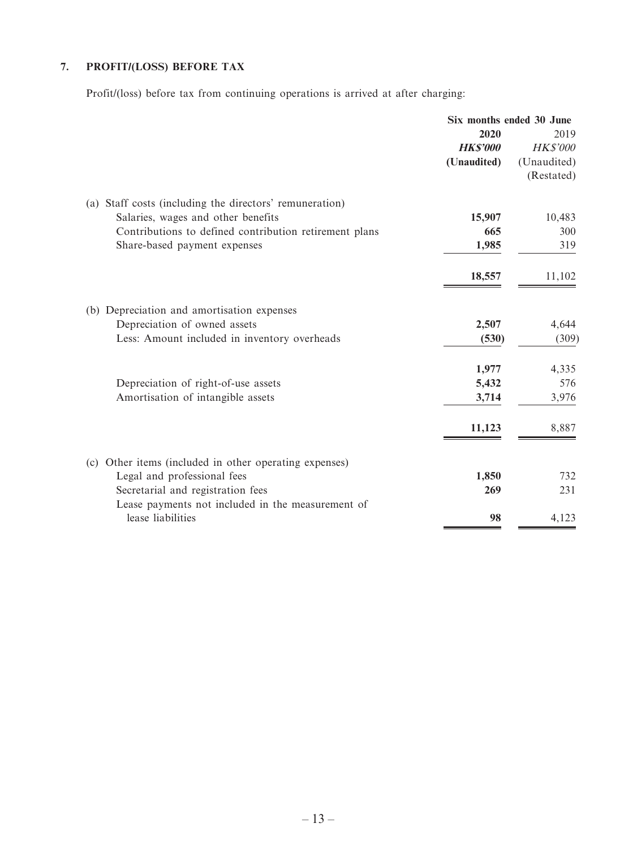# **7. PROFIT/(LOSS) BEFORE TAX**

Profit/(loss) before tax from continuing operations is arrived at after charging:

|                                                         | Six months ended 30 June |                 |
|---------------------------------------------------------|--------------------------|-----------------|
|                                                         | 2020                     | 2019            |
|                                                         | <b>HKS'000</b>           | <b>HK\$'000</b> |
|                                                         | (Unaudited)              | (Unaudited)     |
|                                                         |                          | (Restated)      |
| (a) Staff costs (including the directors' remuneration) |                          |                 |
| Salaries, wages and other benefits                      | 15,907                   | 10,483          |
| Contributions to defined contribution retirement plans  | 665                      | 300             |
| Share-based payment expenses                            | 1,985                    | 319             |
|                                                         | 18,557                   | 11,102          |
| (b) Depreciation and amortisation expenses              |                          |                 |
| Depreciation of owned assets                            | 2,507                    | 4,644           |
| Less: Amount included in inventory overheads            | (530)                    | (309)           |
|                                                         | 1,977                    | 4,335           |
| Depreciation of right-of-use assets                     | 5,432                    | 576             |
| Amortisation of intangible assets                       | 3,714                    | 3,976           |
|                                                         | 11,123                   | 8,887           |
| (c) Other items (included in other operating expenses)  |                          |                 |
| Legal and professional fees                             | 1,850                    | 732             |
| Secretarial and registration fees                       | 269                      | 231             |
| Lease payments not included in the measurement of       |                          |                 |
| lease liabilities                                       | 98                       | 4,123           |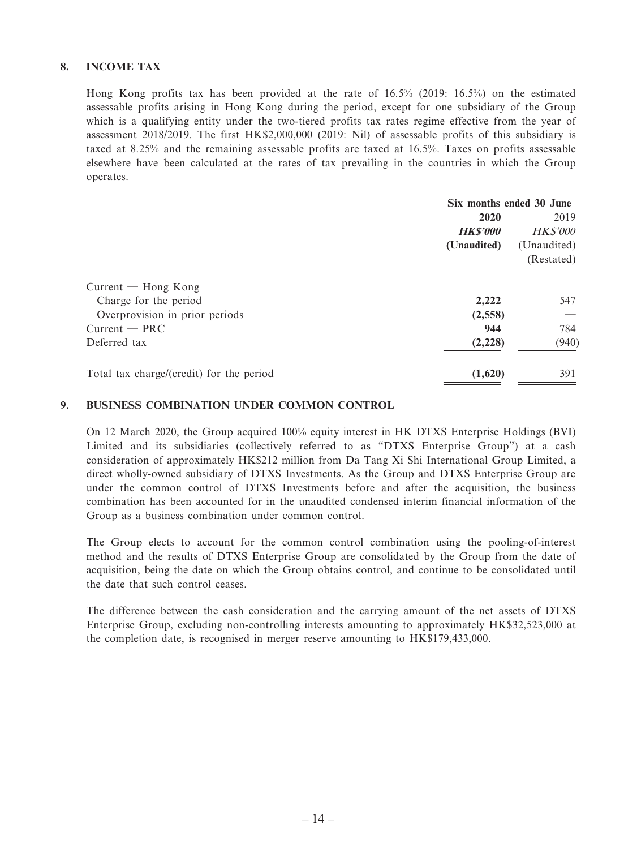#### **8. INCOME TAX**

Hong Kong profits tax has been provided at the rate of 16.5% (2019: 16.5%) on the estimated assessable profits arising in Hong Kong during the period, except for one subsidiary of the Group which is a qualifying entity under the two-tiered profits tax rates regime effective from the year of assessment 2018/2019. The first HK\$2,000,000 (2019: Nil) of assessable profits of this subsidiary is taxed at 8.25% and the remaining assessable profits are taxed at 16.5%. Taxes on profits assessable elsewhere have been calculated at the rates of tax prevailing in the countries in which the Group operates.

|                                          | Six months ended 30 June |                 |
|------------------------------------------|--------------------------|-----------------|
|                                          | 2020                     | 2019            |
|                                          | <b>HKS'000</b>           | <i>HK\$'000</i> |
|                                          | (Unaudited)              | (Unaudited)     |
|                                          |                          | (Restated)      |
| $Current - Hong Kong$                    |                          |                 |
| Charge for the period                    | 2,222                    | 547             |
| Overprovision in prior periods           | (2,558)                  |                 |
| $Current - PRC$                          | 944                      | 784             |
| Deferred tax                             | (2,228)                  | (940)           |
| Total tax charge/(credit) for the period | (1,620)                  | 391             |

#### **9. BUSINESS COMBINATION UNDER COMMON CONTROL**

On 12 March 2020, the Group acquired 100% equity interest in HK DTXS Enterprise Holdings (BVI) Limited and its subsidiaries (collectively referred to as "DTXS Enterprise Group") at a cash consideration of approximately HK\$212 million from Da Tang Xi Shi International Group Limited, a direct wholly-owned subsidiary of DTXS Investments. As the Group and DTXS Enterprise Group are under the common control of DTXS Investments before and after the acquisition, the business combination has been accounted for in the unaudited condensed interim financial information of the Group as a business combination under common control.

The Group elects to account for the common control combination using the pooling-of-interest method and the results of DTXS Enterprise Group are consolidated by the Group from the date of acquisition, being the date on which the Group obtains control, and continue to be consolidated until the date that such control ceases.

The difference between the cash consideration and the carrying amount of the net assets of DTXS Enterprise Group, excluding non-controlling interests amounting to approximately HK\$32,523,000 at the completion date, is recognised in merger reserve amounting to HK\$179,433,000.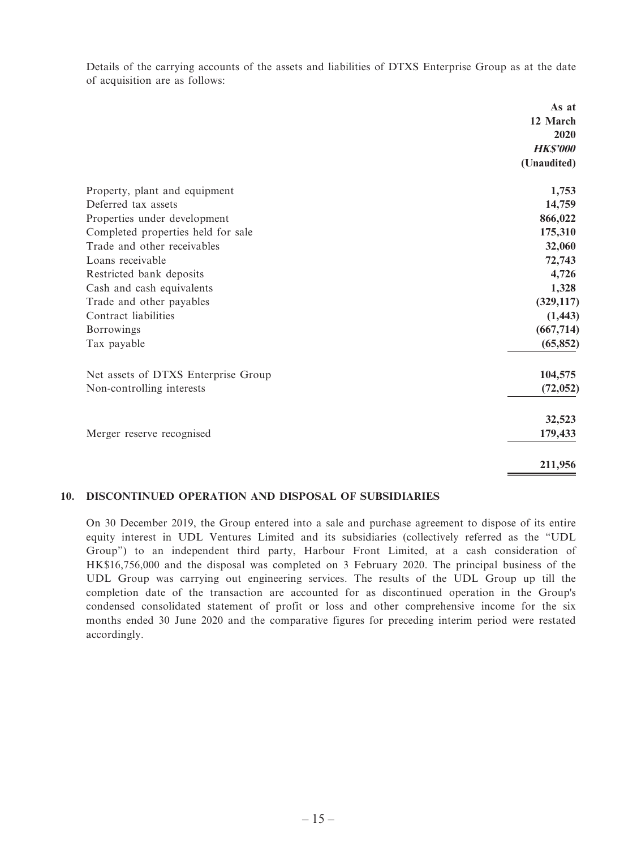Details of the carrying accounts of the assets and liabilities of DTXS Enterprise Group as at the date of acquisition are as follows:

|                                     | As at           |
|-------------------------------------|-----------------|
|                                     | 12 March        |
|                                     | 2020            |
|                                     | <b>HK\$'000</b> |
|                                     | (Unaudited)     |
| Property, plant and equipment       | 1,753           |
| Deferred tax assets                 | 14,759          |
| Properties under development        | 866,022         |
| Completed properties held for sale  | 175,310         |
| Trade and other receivables         | 32,060          |
| Loans receivable                    | 72,743          |
| Restricted bank deposits            | 4,726           |
| Cash and cash equivalents           | 1,328           |
| Trade and other payables            | (329, 117)      |
| Contract liabilities                | (1, 443)        |
| Borrowings                          | (667, 714)      |
| Tax payable                         | (65, 852)       |
| Net assets of DTXS Enterprise Group | 104,575         |
| Non-controlling interests           | (72, 052)       |
|                                     | 32,523          |
| Merger reserve recognised           | 179,433         |
|                                     | 211,956         |

#### **10. DISCONTINUED OPERATION AND DISPOSAL OF SUBSIDIARIES**

On 30 December 2019, the Group entered into a sale and purchase agreement to dispose of its entire equity interest in UDL Ventures Limited and its subsidiaries (collectively referred as the "UDL Group") to an independent third party, Harbour Front Limited, at a cash consideration of HK\$16,756,000 and the disposal was completed on 3 February 2020. The principal business of the UDL Group was carrying out engineering services. The results of the UDL Group up till the completion date of the transaction are accounted for as discontinued operation in the Group's condensed consolidated statement of profit or loss and other comprehensive income for the six months ended 30 June 2020 and the comparative figures for preceding interim period were restated accordingly.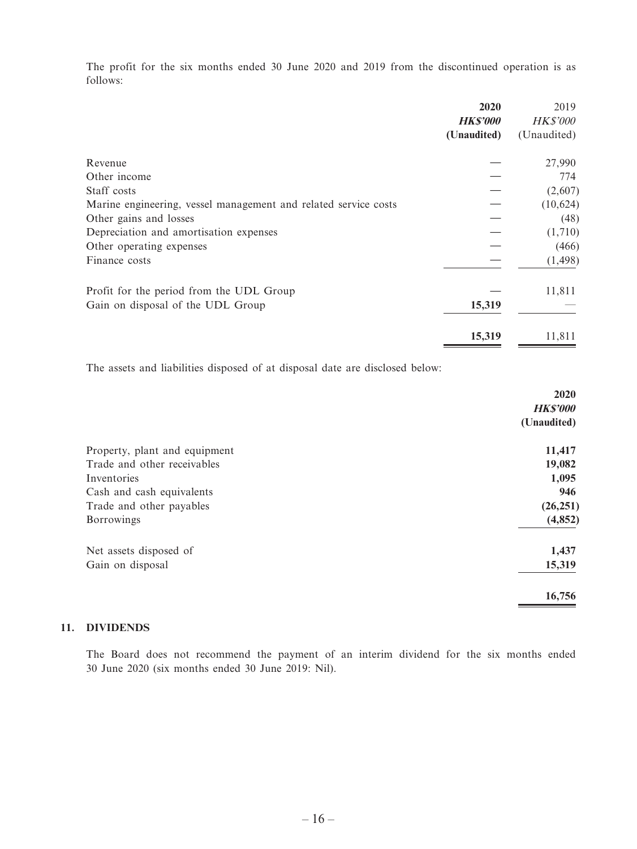The profit for the six months ended 30 June 2020 and 2019 from the discontinued operation is as follows:

| 2019            |
|-----------------|
| <b>HK\$'000</b> |
| (Unaudited)     |
| 27,990          |
| 774             |
| (2,607)         |
| (10,624)        |
| (48)            |
| (1,710)         |
| (466)           |
| (1, 498)        |
| 11,811          |
|                 |
| 11,811          |
|                 |

The assets and liabilities disposed of at disposal date are disclosed below:

|                               | 2020            |
|-------------------------------|-----------------|
|                               | <b>HK\$'000</b> |
|                               | (Unaudited)     |
| Property, plant and equipment | 11,417          |
| Trade and other receivables   | 19,082          |
| Inventories                   | 1,095           |
| Cash and cash equivalents     | 946             |
| Trade and other payables      | (26, 251)       |
| Borrowings                    | (4, 852)        |
| Net assets disposed of        | 1,437           |
| Gain on disposal              | 15,319          |
|                               | 16,756          |

### **11. DIVIDENDS**

The Board does not recommend the payment of an interim dividend for the six months ended 30 June 2020 (six months ended 30 June 2019: Nil).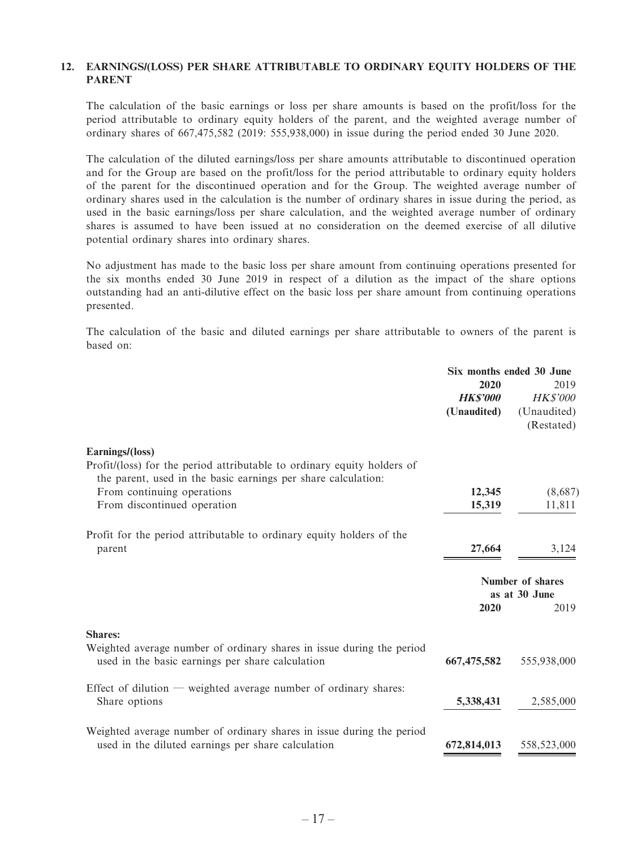#### **12. EARNINGS/(LOSS) PER SHARE ATTRIBUTABLE TO ORDINARY EQUITY HOLDERS OF THE PARENT**

The calculation of the basic earnings or loss per share amounts is based on the profit/loss for the period attributable to ordinary equity holders of the parent, and the weighted average number of ordinary shares of 667,475,582 (2019: 555,938,000) in issue during the period ended 30 June 2020.

The calculation of the diluted earnings/loss per share amounts attributable to discontinued operation and for the Group are based on the profit/loss for the period attributable to ordinary equity holders of the parent for the discontinued operation and for the Group. The weighted average number of ordinary shares used in the calculation is the number of ordinary shares in issue during the period, as used in the basic earnings/loss per share calculation, and the weighted average number of ordinary shares is assumed to have been issued at no consideration on the deemed exercise of all dilutive potential ordinary shares into ordinary shares.

No adjustment has made to the basic loss per share amount from continuing operations presented for the six months ended 30 June 2019 in respect of a dilution as the impact of the share options outstanding had an anti-dilutive effect on the basic loss per share amount from continuing operations presented.

The calculation of the basic and diluted earnings per share attributable to owners of the parent is based on:

|                                                                                                                                                             | 2020<br><b>HKS'000</b> | Six months ended 30 June<br>2019<br><b>HK\$'000</b> |
|-------------------------------------------------------------------------------------------------------------------------------------------------------------|------------------------|-----------------------------------------------------|
|                                                                                                                                                             | (Unaudited)            | (Unaudited)<br>(Restated)                           |
| Earnings/(loss)<br>Profit/(loss) for the period attributable to ordinary equity holders of<br>the parent, used in the basic earnings per share calculation: |                        |                                                     |
| From continuing operations                                                                                                                                  | 12,345                 | (8,687)                                             |
| From discontinued operation                                                                                                                                 | 15,319                 | 11,811                                              |
| Profit for the period attributable to ordinary equity holders of the<br>parent                                                                              | 27,664                 | 3,124                                               |
|                                                                                                                                                             |                        | Number of shares<br>as at 30 June                   |
|                                                                                                                                                             | 2020                   | 2019                                                |
| <b>Shares:</b>                                                                                                                                              |                        |                                                     |
| Weighted average number of ordinary shares in issue during the period<br>used in the basic earnings per share calculation                                   | 667, 475, 582          | 555,938,000                                         |
| Effect of dilution — weighted average number of ordinary shares:<br>Share options                                                                           | 5,338,431              | 2,585,000                                           |
| Weighted average number of ordinary shares in issue during the period<br>used in the diluted earnings per share calculation                                 | 672,814,013            | 558,523,000                                         |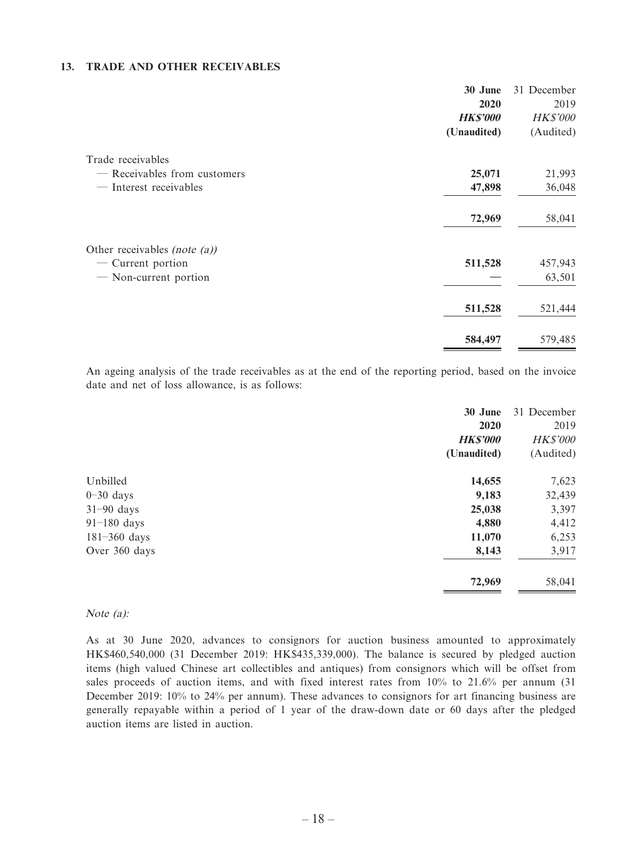#### **13. TRADE AND OTHER RECEIVABLES**

|                                 | 30 June         | 31 December     |
|---------------------------------|-----------------|-----------------|
|                                 | 2020            | 2019            |
|                                 | <b>HK\$'000</b> | <b>HK\$'000</b> |
|                                 | (Unaudited)     | (Audited)       |
| Trade receivables               |                 |                 |
| - Receivables from customers    | 25,071          | 21,993          |
| — Interest receivables          | 47,898          | 36,048          |
|                                 | 72,969          | 58,041          |
| Other receivables (note $(a)$ ) |                 |                 |
| — Current portion               | 511,528         | 457,943         |
| - Non-current portion           |                 | 63,501          |
|                                 | 511,528         | 521,444         |
|                                 | 584,497         | 579,485         |

An ageing analysis of the trade receivables as at the end of the reporting period, based on the invoice date and net of loss allowance, is as follows:

|                  | 30 June         | 31 December     |
|------------------|-----------------|-----------------|
|                  | 2020            | 2019            |
|                  | <b>HK\$'000</b> | <b>HK\$'000</b> |
| (Unaudited)      |                 | (Audited)       |
| Unbilled         | 14,655          | 7,623           |
| $0 - 30$ days    | 9,183           | 32,439          |
| $31-90$ days     | 25,038          | 3,397           |
| $91-180$ days    | 4,880           | 4,412           |
| $181 - 360$ days | 11,070          | 6,253           |
| Over 360 days    | 8,143           | 3,917           |
|                  | 72,969          | 58,041          |

#### Note (a):

As at 30 June 2020, advances to consignors for auction business amounted to approximately HK\$460,540,000 (31 December 2019: HK\$435,339,000). The balance is secured by pledged auction items (high valued Chinese art collectibles and antiques) from consignors which will be offset from sales proceeds of auction items, and with fixed interest rates from 10% to 21.6% per annum (31 December 2019: 10% to 24% per annum). These advances to consignors for art financing business are generally repayable within a period of 1 year of the draw-down date or 60 days after the pledged auction items are listed in auction.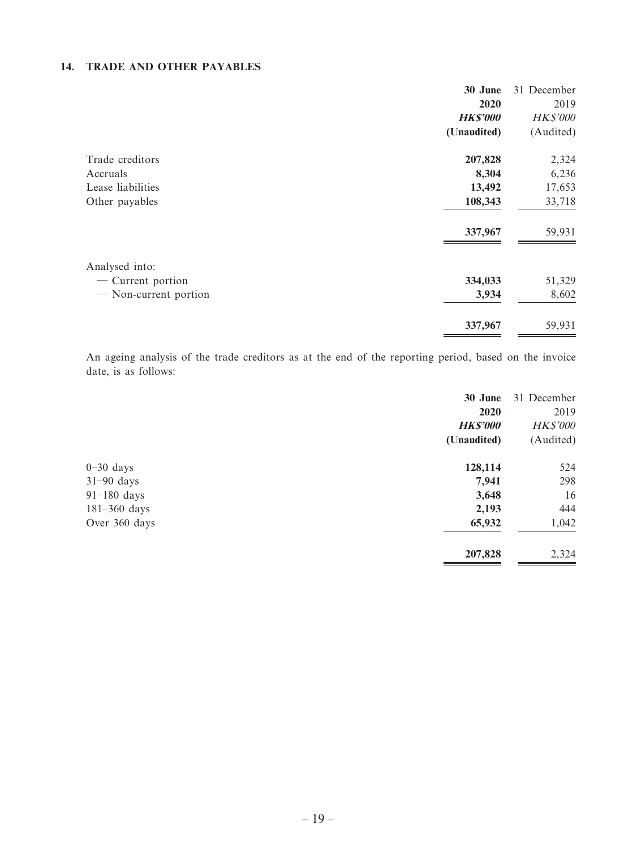### **14. TRADE AND OTHER PAYABLES**

|                       | 30 June         | 31 December |
|-----------------------|-----------------|-------------|
|                       | 2020            | 2019        |
|                       | <b>HK\$'000</b> | HK\$'000    |
|                       | (Unaudited)     | (Audited)   |
| Trade creditors       | 207,828         | 2,324       |
| Accruals              | 8,304           | 6,236       |
| Lease liabilities     | 13,492          | 17,653      |
| Other payables        | 108,343         | 33,718      |
|                       | 337,967         | 59,931      |
| Analysed into:        |                 |             |
| — Current portion     | 334,033         | 51,329      |
| - Non-current portion | 3,934           | 8,602       |
|                       | 337,967         | 59,931      |

An ageing analysis of the trade creditors as at the end of the reporting period, based on the invoice date, is as follows:

| 30 June                   | 31 December     |
|---------------------------|-----------------|
| 2020                      | 2019            |
| <b>HK\$'000</b>           | <b>HK\$'000</b> |
| (Unaudited)               | (Audited)       |
| 128,114<br>$0 - 30$ days  | 524             |
| $31-90$ days<br>7,941     | 298             |
| $91-180$ days<br>3,648    | 16              |
| $181 - 360$ days<br>2,193 | 444             |
| 65,932<br>Over 360 days   | 1,042           |
| 207,828                   | 2,324           |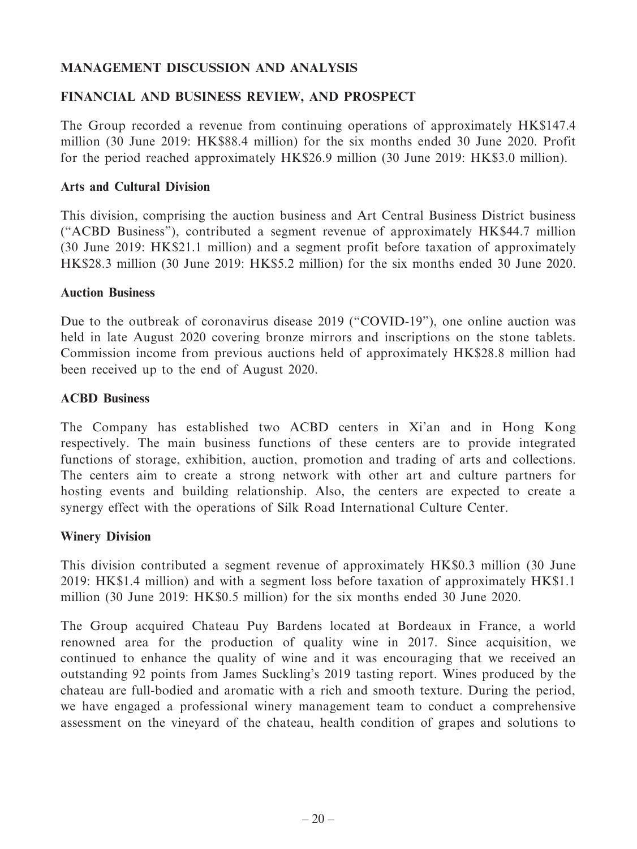# **MANAGEMENT DISCUSSION AND ANALYSIS**

## **FINANCIAL AND BUSINESS REVIEW, AND PROSPECT**

The Group recorded a revenue from continuing operations of approximately HK\$147.4 million (30 June 2019: HK\$88.4 million) for the six months ended 30 June 2020. Profit for the period reached approximately HK\$26.9 million (30 June 2019: HK\$3.0 million).

### **Arts and Cultural Division**

This division, comprising the auction business and Art Central Business District business ("ACBD Business"), contributed a segment revenue of approximately HK\$44.7 million (30 June 2019: HK\$21.1 million) and a segment profit before taxation of approximately HK\$28.3 million (30 June 2019: HK\$5.2 million) for the six months ended 30 June 2020.

### **Auction Business**

Due to the outbreak of coronavirus disease 2019 ("COVID-19"), one online auction was held in late August 2020 covering bronze mirrors and inscriptions on the stone tablets. Commission income from previous auctions held of approximately HK\$28.8 million had been received up to the end of August 2020.

### **ACBD Business**

The Company has established two ACBD centers in Xi'an and in Hong Kong respectively. The main business functions of these centers are to provide integrated functions of storage, exhibition, auction, promotion and trading of arts and collections. The centers aim to create a strong network with other art and culture partners for hosting events and building relationship. Also, the centers are expected to create a synergy effect with the operations of Silk Road International Culture Center.

### **Winery Division**

This division contributed a segment revenue of approximately HK\$0.3 million (30 June 2019: HK\$1.4 million) and with a segment loss before taxation of approximately HK\$1.1 million (30 June 2019: HK\$0.5 million) for the six months ended 30 June 2020.

The Group acquired Chateau Puy Bardens located at Bordeaux in France, a world renowned area for the production of quality wine in 2017. Since acquisition, we continued to enhance the quality of wine and it was encouraging that we received an outstanding 92 points from James Suckling's 2019 tasting report. Wines produced by the chateau are full-bodied and aromatic with a rich and smooth texture. During the period, we have engaged a professional winery management team to conduct a comprehensive assessment on the vineyard of the chateau, health condition of grapes and solutions to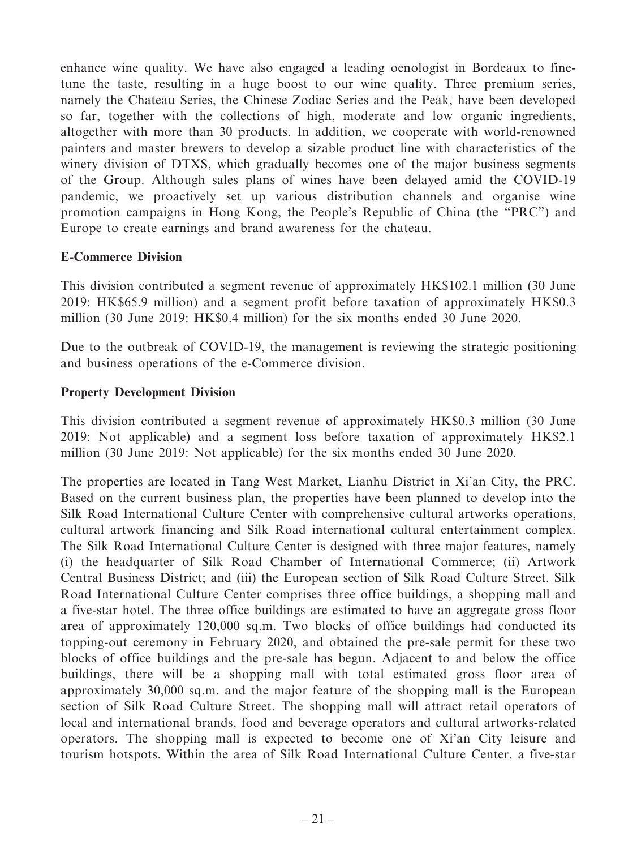enhance wine quality. We have also engaged a leading oenologist in Bordeaux to finetune the taste, resulting in a huge boost to our wine quality. Three premium series, namely the Chateau Series, the Chinese Zodiac Series and the Peak, have been developed so far, together with the collections of high, moderate and low organic ingredients, altogether with more than 30 products. In addition, we cooperate with world-renowned painters and master brewers to develop a sizable product line with characteristics of the winery division of DTXS, which gradually becomes one of the major business segments of the Group. Although sales plans of wines have been delayed amid the COVID-19 pandemic, we proactively set up various distribution channels and organise wine promotion campaigns in Hong Kong, the People's Republic of China (the "PRC") and Europe to create earnings and brand awareness for the chateau.

### **E-Commerce Division**

This division contributed a segment revenue of approximately HK\$102.1 million (30 June 2019: HK\$65.9 million) and a segment profit before taxation of approximately HK\$0.3 million (30 June 2019: HK\$0.4 million) for the six months ended 30 June 2020.

Due to the outbreak of COVID-19, the management is reviewing the strategic positioning and business operations of the e-Commerce division.

### **Property Development Division**

This division contributed a segment revenue of approximately HK\$0.3 million (30 June 2019: Not applicable) and a segment loss before taxation of approximately HK\$2.1 million (30 June 2019: Not applicable) for the six months ended 30 June 2020.

The properties are located in Tang West Market, Lianhu District in Xi'an City, the PRC. Based on the current business plan, the properties have been planned to develop into the Silk Road International Culture Center with comprehensive cultural artworks operations, cultural artwork financing and Silk Road international cultural entertainment complex. The Silk Road International Culture Center is designed with three major features, namely (i) the headquarter of Silk Road Chamber of International Commerce; (ii) Artwork Central Business District; and (iii) the European section of Silk Road Culture Street. Silk Road International Culture Center comprises three office buildings, a shopping mall and a five-star hotel. The three office buildings are estimated to have an aggregate gross floor area of approximately 120,000 sq.m. Two blocks of office buildings had conducted its topping-out ceremony in February 2020, and obtained the pre-sale permit for these two blocks of office buildings and the pre-sale has begun. Adjacent to and below the office buildings, there will be a shopping mall with total estimated gross floor area of approximately 30,000 sq.m. and the major feature of the shopping mall is the European section of Silk Road Culture Street. The shopping mall will attract retail operators of local and international brands, food and beverage operators and cultural artworks-related operators. The shopping mall is expected to become one of Xi'an City leisure and tourism hotspots. Within the area of Silk Road International Culture Center, a five-star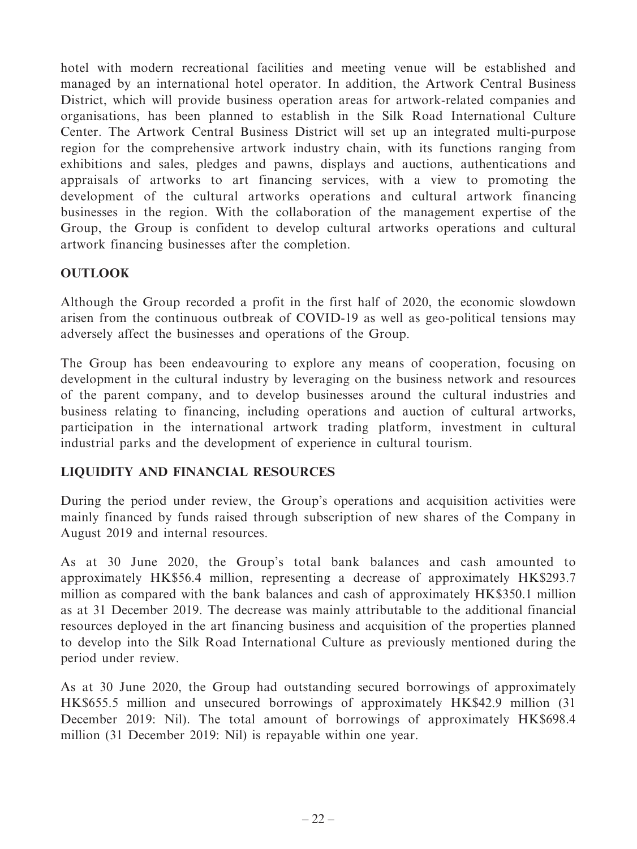hotel with modern recreational facilities and meeting venue will be established and managed by an international hotel operator. In addition, the Artwork Central Business District, which will provide business operation areas for artwork-related companies and organisations, has been planned to establish in the Silk Road International Culture Center. The Artwork Central Business District will set up an integrated multi-purpose region for the comprehensive artwork industry chain, with its functions ranging from exhibitions and sales, pledges and pawns, displays and auctions, authentications and appraisals of artworks to art financing services, with a view to promoting the development of the cultural artworks operations and cultural artwork financing businesses in the region. With the collaboration of the management expertise of the Group, the Group is confident to develop cultural artworks operations and cultural artwork financing businesses after the completion.

# **OUTLOOK**

Although the Group recorded a profit in the first half of 2020, the economic slowdown arisen from the continuous outbreak of COVID-19 as well as geo-political tensions may adversely affect the businesses and operations of the Group.

The Group has been endeavouring to explore any means of cooperation, focusing on development in the cultural industry by leveraging on the business network and resources of the parent company, and to develop businesses around the cultural industries and business relating to financing, including operations and auction of cultural artworks, participation in the international artwork trading platform, investment in cultural industrial parks and the development of experience in cultural tourism.

# **LIQUIDITY AND FINANCIAL RESOURCES**

During the period under review, the Group's operations and acquisition activities were mainly financed by funds raised through subscription of new shares of the Company in August 2019 and internal resources.

As at 30 June 2020, the Group's total bank balances and cash amounted to approximately HK\$56.4 million, representing a decrease of approximately HK\$293.7 million as compared with the bank balances and cash of approximately HK\$350.1 million as at 31 December 2019. The decrease was mainly attributable to the additional financial resources deployed in the art financing business and acquisition of the properties planned to develop into the Silk Road International Culture as previously mentioned during the period under review.

As at 30 June 2020, the Group had outstanding secured borrowings of approximately HK\$655.5 million and unsecured borrowings of approximately HK\$42.9 million (31 December 2019: Nil). The total amount of borrowings of approximately HK\$698.4 million (31 December 2019: Nil) is repayable within one year.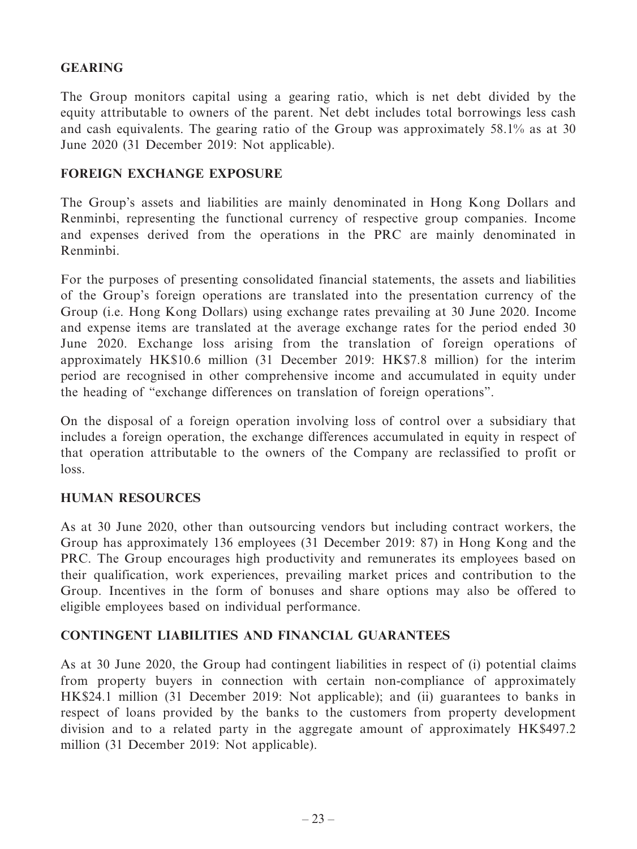## **GEARING**

The Group monitors capital using a gearing ratio, which is net debt divided by the equity attributable to owners of the parent. Net debt includes total borrowings less cash and cash equivalents. The gearing ratio of the Group was approximately 58.1% as at 30 June 2020 (31 December 2019: Not applicable).

## **FOREIGN EXCHANGE EXPOSURE**

The Group's assets and liabilities are mainly denominated in Hong Kong Dollars and Renminbi, representing the functional currency of respective group companies. Income and expenses derived from the operations in the PRC are mainly denominated in Renminbi.

For the purposes of presenting consolidated financial statements, the assets and liabilities of the Group's foreign operations are translated into the presentation currency of the Group (i.e. Hong Kong Dollars) using exchange rates prevailing at 30 June 2020. Income and expense items are translated at the average exchange rates for the period ended 30 June 2020. Exchange loss arising from the translation of foreign operations of approximately HK\$10.6 million (31 December 2019: HK\$7.8 million) for the interim period are recognised in other comprehensive income and accumulated in equity under the heading of "exchange differences on translation of foreign operations".

On the disposal of a foreign operation involving loss of control over a subsidiary that includes a foreign operation, the exchange differences accumulated in equity in respect of that operation attributable to the owners of the Company are reclassified to profit or loss.

### **HUMAN RESOURCES**

As at 30 June 2020, other than outsourcing vendors but including contract workers, the Group has approximately 136 employees (31 December 2019: 87) in Hong Kong and the PRC. The Group encourages high productivity and remunerates its employees based on their qualification, work experiences, prevailing market prices and contribution to the Group. Incentives in the form of bonuses and share options may also be offered to eligible employees based on individual performance.

### **CONTINGENT LIABILITIES AND FINANCIAL GUARANTEES**

As at 30 June 2020, the Group had contingent liabilities in respect of (i) potential claims from property buyers in connection with certain non-compliance of approximately HK\$24.1 million (31 December 2019: Not applicable); and (ii) guarantees to banks in respect of loans provided by the banks to the customers from property development division and to a related party in the aggregate amount of approximately HK\$497.2 million (31 December 2019: Not applicable).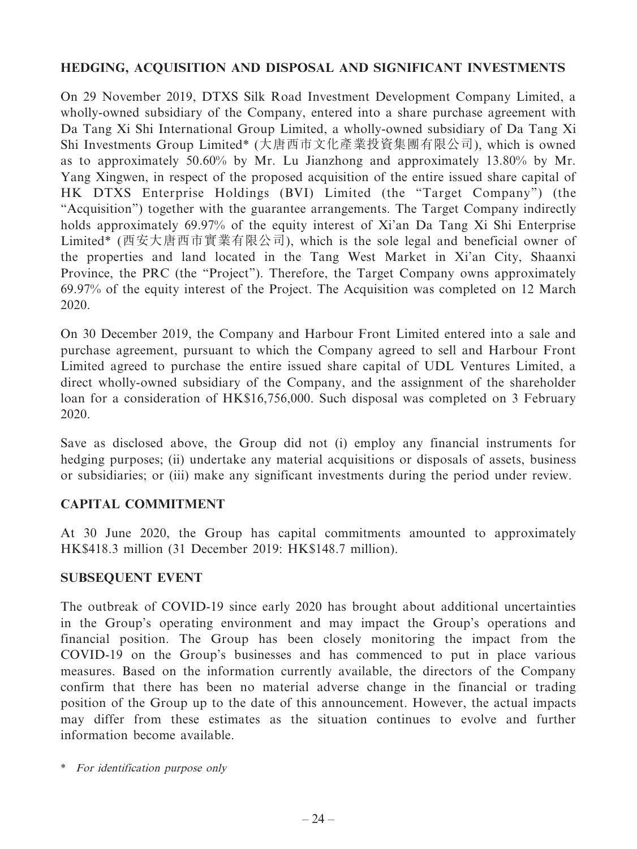# **HEDGING, ACQUISITION AND DISPOSAL AND SIGNIFICANT INVESTMENTS**

On 29 November 2019, DTXS Silk Road Investment Development Company Limited, a wholly-owned subsidiary of the Company, entered into a share purchase agreement with Da Tang Xi Shi International Group Limited, a wholly-owned subsidiary of Da Tang Xi Shi Investments Group Limited\* (大唐西市文化產業投資集團有限公司), which is owned as to approximately 50.60% by Mr. Lu Jianzhong and approximately 13.80% by Mr. Yang Xingwen, in respect of the proposed acquisition of the entire issued share capital of HK DTXS Enterprise Holdings (BVI) Limited (the "Target Company") (the "Acquisition") together with the guarantee arrangements. The Target Company indirectly holds approximately 69.97% of the equity interest of Xi'an Da Tang Xi Shi Enterprise Limited\* (西安大唐西市實業有限公司), which is the sole legal and beneficial owner of the properties and land located in the Tang West Market in Xi'an City, Shaanxi Province, the PRC (the "Project"). Therefore, the Target Company owns approximately 69.97% of the equity interest of the Project. The Acquisition was completed on 12 March 2020.

On 30 December 2019, the Company and Harbour Front Limited entered into a sale and purchase agreement, pursuant to which the Company agreed to sell and Harbour Front Limited agreed to purchase the entire issued share capital of UDL Ventures Limited, a direct wholly-owned subsidiary of the Company, and the assignment of the shareholder loan for a consideration of HK\$16,756,000. Such disposal was completed on 3 February 2020.

Save as disclosed above, the Group did not (i) employ any financial instruments for hedging purposes; (ii) undertake any material acquisitions or disposals of assets, business or subsidiaries; or (iii) make any significant investments during the period under review.

### **CAPITAL COMMITMENT**

At 30 June 2020, the Group has capital commitments amounted to approximately HK\$418.3 million (31 December 2019: HK\$148.7 million).

### **SUBSEQUENT EVENT**

The outbreak of COVID-19 since early 2020 has brought about additional uncertainties in the Group's operating environment and may impact the Group's operations and financial position. The Group has been closely monitoring the impact from the COVID-19 on the Group's businesses and has commenced to put in place various measures. Based on the information currently available, the directors of the Company confirm that there has been no material adverse change in the financial or trading position of the Group up to the date of this announcement. However, the actual impacts may differ from these estimates as the situation continues to evolve and further information become available.

\* For identification purpose only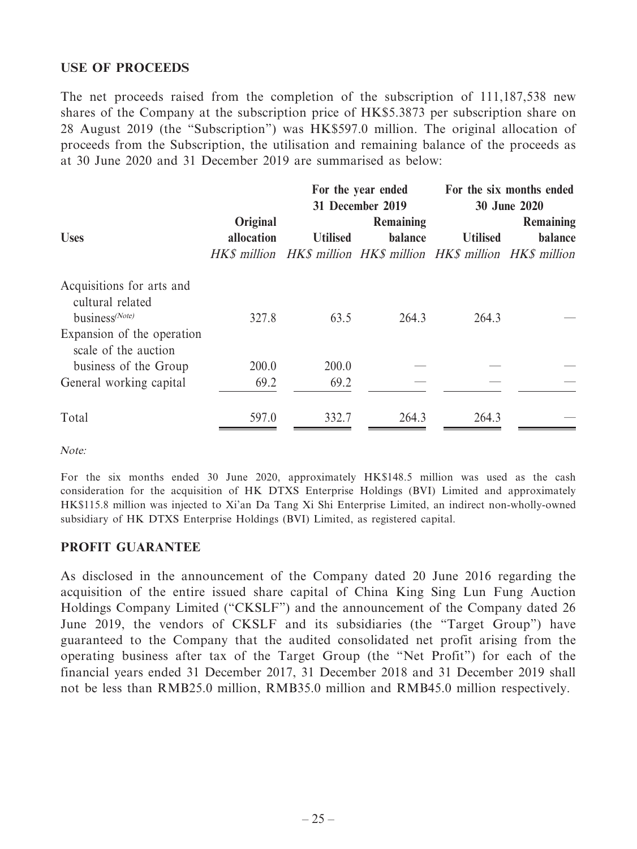### **USE OF PROCEEDS**

The net proceeds raised from the completion of the subscription of 111,187,538 new shares of the Company at the subscription price of HK\$5.3873 per subscription share on 28 August 2019 (the "Subscription") was HK\$597.0 million. The original allocation of proceeds from the Subscription, the utilisation and remaining balance of the proceeds as at 30 June 2020 and 31 December 2019 are summarised as below:

|                                                                                  |            | For the year ended<br>31 December 2019 |           | For the six months ended<br>30 June 2020                         |         |
|----------------------------------------------------------------------------------|------------|----------------------------------------|-----------|------------------------------------------------------------------|---------|
|                                                                                  | Original   |                                        | Remaining | <b>Remaining</b>                                                 |         |
| <b>Uses</b>                                                                      | allocation | <b>Utilised</b>                        | balance   | <b>Utilised</b>                                                  | balance |
|                                                                                  |            |                                        |           | HK\$ million HK\$ million HK\$ million HK\$ million HK\$ million |         |
| Acquisitions for arts and<br>cultural related                                    |            |                                        |           |                                                                  |         |
| business <sup>(Note)</sup><br>Expansion of the operation<br>scale of the auction | 327.8      | 63.5                                   | 264.3     | 264.3                                                            |         |
| business of the Group                                                            | 200.0      | 200.0                                  |           |                                                                  |         |
| General working capital                                                          | 69.2       | 69.2                                   |           |                                                                  |         |
| Total                                                                            | 597.0      | 332.7                                  | 264.3     | 264.3                                                            |         |

Note:

For the six months ended 30 June 2020, approximately HK\$148.5 million was used as the cash consideration for the acquisition of HK DTXS Enterprise Holdings (BVI) Limited and approximately HK\$115.8 million was injected to Xi'an Da Tang Xi Shi Enterprise Limited, an indirect non-wholly-owned subsidiary of HK DTXS Enterprise Holdings (BVI) Limited, as registered capital.

### **PROFIT GUARANTEE**

As disclosed in the announcement of the Company dated 20 June 2016 regarding the acquisition of the entire issued share capital of China King Sing Lun Fung Auction Holdings Company Limited ("CKSLF") and the announcement of the Company dated 26 June 2019, the vendors of CKSLF and its subsidiaries (the "Target Group") have guaranteed to the Company that the audited consolidated net profit arising from the operating business after tax of the Target Group (the "Net Profit") for each of the financial years ended 31 December 2017, 31 December 2018 and 31 December 2019 shall not be less than RMB25.0 million, RMB35.0 million and RMB45.0 million respectively.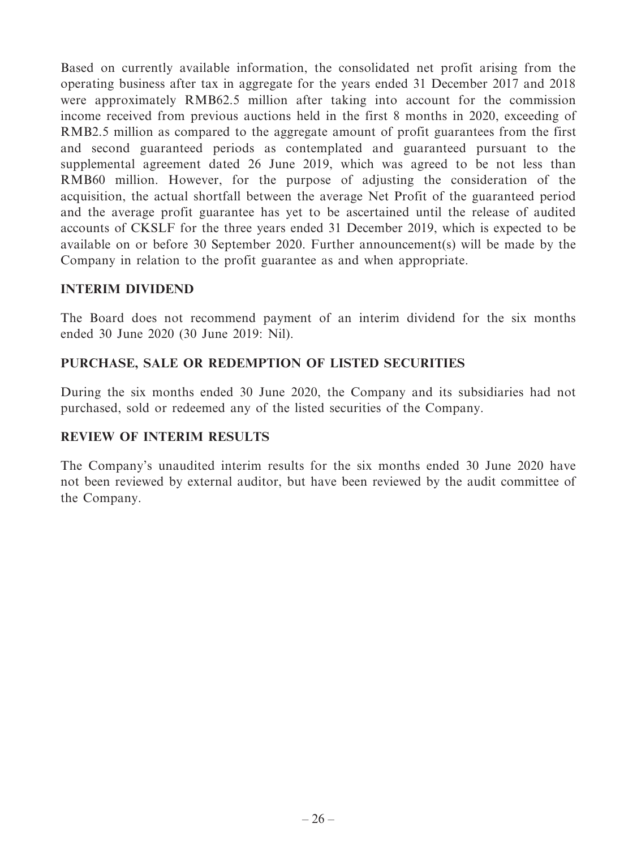Based on currently available information, the consolidated net profit arising from the operating business after tax in aggregate for the years ended 31 December 2017 and 2018 were approximately RMB62.5 million after taking into account for the commission income received from previous auctions held in the first 8 months in 2020, exceeding of RMB2.5 million as compared to the aggregate amount of profit guarantees from the first and second guaranteed periods as contemplated and guaranteed pursuant to the supplemental agreement dated 26 June 2019, which was agreed to be not less than RMB60 million. However, for the purpose of adjusting the consideration of the acquisition, the actual shortfall between the average Net Profit of the guaranteed period and the average profit guarantee has yet to be ascertained until the release of audited accounts of CKSLF for the three years ended 31 December 2019, which is expected to be available on or before 30 September 2020. Further announcement(s) will be made by the Company in relation to the profit guarantee as and when appropriate.

### **INTERIM DIVIDEND**

The Board does not recommend payment of an interim dividend for the six months ended 30 June 2020 (30 June 2019: Nil).

# **PURCHASE, SALE OR REDEMPTION OF LISTED SECURITIES**

During the six months ended 30 June 2020, the Company and its subsidiaries had not purchased, sold or redeemed any of the listed securities of the Company.

# **REVIEW OF INTERIM RESULTS**

The Company's unaudited interim results for the six months ended 30 June 2020 have not been reviewed by external auditor, but have been reviewed by the audit committee of the Company.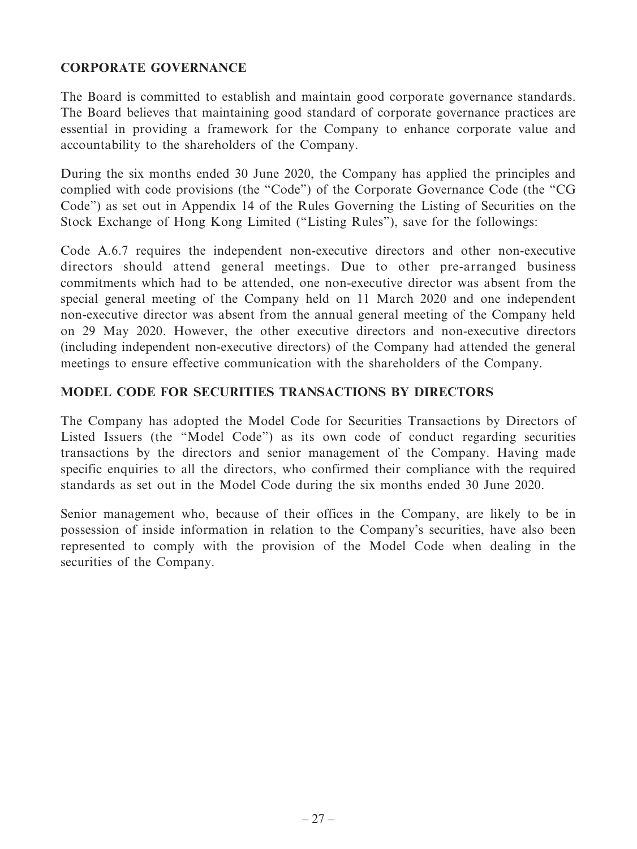# **CORPORATE GOVERNANCE**

The Board is committed to establish and maintain good corporate governance standards. The Board believes that maintaining good standard of corporate governance practices are essential in providing a framework for the Company to enhance corporate value and accountability to the shareholders of the Company.

During the six months ended 30 June 2020, the Company has applied the principles and complied with code provisions (the "Code") of the Corporate Governance Code (the "CG Code") as set out in Appendix 14 of the Rules Governing the Listing of Securities on the Stock Exchange of Hong Kong Limited ("Listing Rules"), save for the followings:

Code A.6.7 requires the independent non-executive directors and other non-executive directors should attend general meetings. Due to other pre-arranged business commitments which had to be attended, one non-executive director was absent from the special general meeting of the Company held on 11 March 2020 and one independent non-executive director was absent from the annual general meeting of the Company held on 29 May 2020. However, the other executive directors and non-executive directors (including independent non-executive directors) of the Company had attended the general meetings to ensure effective communication with the shareholders of the Company.

# **MODEL CODE FOR SECURITIES TRANSACTIONS BY DIRECTORS**

The Company has adopted the Model Code for Securities Transactions by Directors of Listed Issuers (the "Model Code") as its own code of conduct regarding securities transactions by the directors and senior management of the Company. Having made specific enquiries to all the directors, who confirmed their compliance with the required standards as set out in the Model Code during the six months ended 30 June 2020.

Senior management who, because of their offices in the Company, are likely to be in possession of inside information in relation to the Company's securities, have also been represented to comply with the provision of the Model Code when dealing in the securities of the Company.